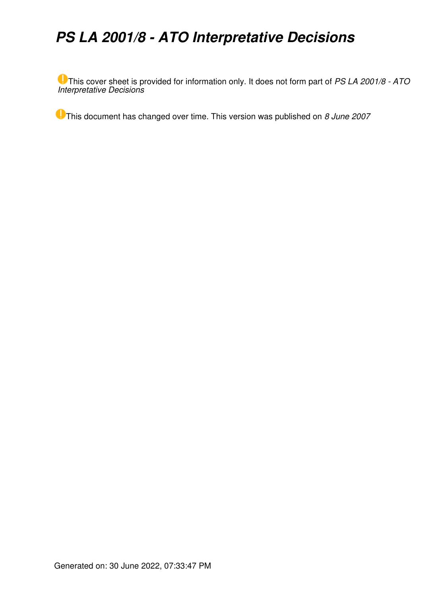# *PS LA 2001/8 - ATO Interpretative Decisions*

This cover sheet is provided for information only. It does not form part of *PS LA 2001/8 - ATO Interpretative Decisions*

This document has changed over time. This version was published on *8 June 2007*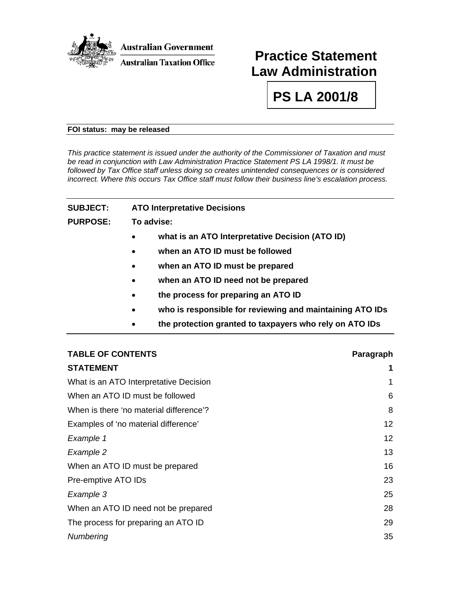

# **Practice Statement Law Administration**

**PS LA 2001/8** 

#### **FOI status: may be released**

*This practice statement is issued under the authority of the Commissioner of Taxation and must be read in conjunction with Law Administration Practice Statement PS LA 1998/1. It must be followed by Tax Office staff unless doing so creates unintended consequences or is considered incorrect. Where this occurs Tax Office staff must follow their business line's escalation process.* 

| <b>SUBJECT:</b> | <b>ATO Interpretative Decisions</b>                                   |  |  |
|-----------------|-----------------------------------------------------------------------|--|--|
| <b>PURPOSE:</b> | To advise:                                                            |  |  |
|                 | what is an ATO Interpretative Decision (ATO ID)                       |  |  |
|                 | when an ATO ID must be followed<br>$\bullet$                          |  |  |
|                 | when an ATO ID must be prepared<br>$\bullet$                          |  |  |
|                 | when an ATO ID need not be prepared<br>$\bullet$                      |  |  |
|                 | the process for preparing an ATO ID<br>$\bullet$                      |  |  |
|                 | who is responsible for reviewing and maintaining ATO IDs<br>$\bullet$ |  |  |
|                 | the protection granted to taxpayers who rely on ATO IDs               |  |  |

| <b>TABLE OF CONTENTS</b>                | Paragraph |
|-----------------------------------------|-----------|
| <b>STATEMENT</b>                        | 1         |
| What is an ATO Interpretative Decision  | 1         |
| When an ATO ID must be followed         | 6         |
| When is there 'no material difference'? | 8         |
| Examples of 'no material difference'    | 12        |
| Example 1                               | 12        |
| Example 2                               | 13        |
| When an ATO ID must be prepared         | 16        |
| Pre-emptive ATO IDs                     | 23        |
| Example 3                               | 25        |
| When an ATO ID need not be prepared     | 28        |
| The process for preparing an ATO ID     | 29        |
| Numbering                               | 35        |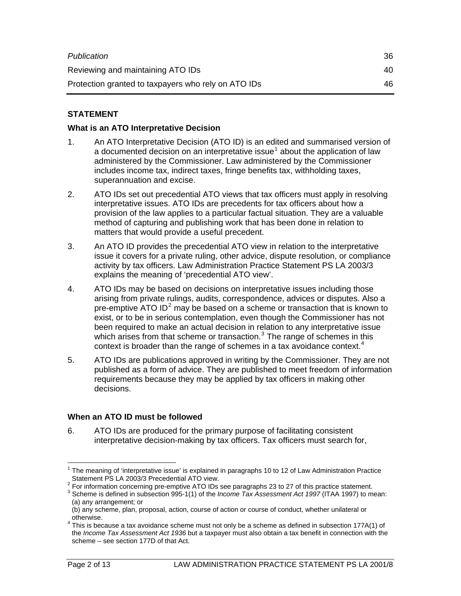| Publication                                         | 36  |
|-----------------------------------------------------|-----|
| Reviewing and maintaining ATO IDs                   | 40. |
| Protection granted to taxpayers who rely on ATO IDs | 46. |

# **STATEMENT**

#### **What is an ATO Interpretative Decision**

- 1. An ATO Interpretative Decision (ATO ID) is an edited and summarised version of a documented decision on an interpretative issue<sup>[1](#page-2-0)</sup> about the application of law administered by the Commissioner. Law administered by the Commissioner includes income tax, indirect taxes, fringe benefits tax, withholding taxes, superannuation and excise.
- 2. ATO IDs set out precedential ATO views that tax officers must apply in resolving interpretative issues. ATO IDs are precedents for tax officers about how a provision of the law applies to a particular factual situation. They are a valuable method of capturing and publishing work that has been done in relation to matters that would provide a useful precedent.
- 3. An ATO ID provides the precedential ATO view in relation to the interpretative issue it covers for a private ruling, other advice, dispute resolution, or compliance activity by tax officers. Law Administration Practice Statement PS LA 2003/3 explains the meaning of 'precedential ATO view'.
- 4. ATO IDs may be based on decisions on interpretative issues including those arising from private rulings, audits, correspondence, advices or disputes. Also a pre-emptive ATO ID<sup>[2](#page-2-1)</sup> may be based on a scheme or transaction that is known to exist, or to be in serious contemplation, even though the Commissioner has not been required to make an actual decision in relation to any interpretative issue which arises from that scheme or transaction. $3$  The range of schemes in this context is broader than the range of schemes in a tax avoidance context.<sup>[4](#page-2-3)</sup>
- 5. ATO IDs are publications approved in writing by the Commissioner. They are not published as a form of advice. They are published to meet freedom of information requirements because they may be applied by tax officers in making other decisions.

#### **When an ATO ID must be followed**

6. ATO IDs are produced for the primary purpose of facilitating consistent interpretative decision-making by tax officers. Tax officers must search for,

<span id="page-2-0"></span> $\overline{a}$  $1$  The meaning of 'interpretative issue' is explained in paragraphs 10 to 12 of Law Administration Practice Statement PS LA 2003/3 Precedential ATO view.

<sup>&</sup>lt;sup>2</sup> For information concerning pre-emptive ATO IDs see paragraphs 23 to 27 of this practice statement.<br><sup>3</sup> Schame is defined in exhanging 005,4(4) of the Income Tay Associated 4st 4007 (ITAA 4007) to m

<span id="page-2-2"></span><span id="page-2-1"></span><sup>&</sup>lt;sup>3</sup> Scheme is defined in subsection 995-1(1) of the *Income Tax Assessment Act 1997* (ITAA 1997) to mean: (a) any arrangement; or

<sup>(</sup>b) any scheme, plan, proposal, action, course of action or course of conduct, whether unilateral or otherwise.

<span id="page-2-3"></span> $4$  This is because a tax avoidance scheme must not only be a scheme as defined in subsection 177A(1) of the *Income Tax Assessment Act 1936* but a taxpayer must also obtain a tax benefit in connection with the scheme – see section 177D of that Act.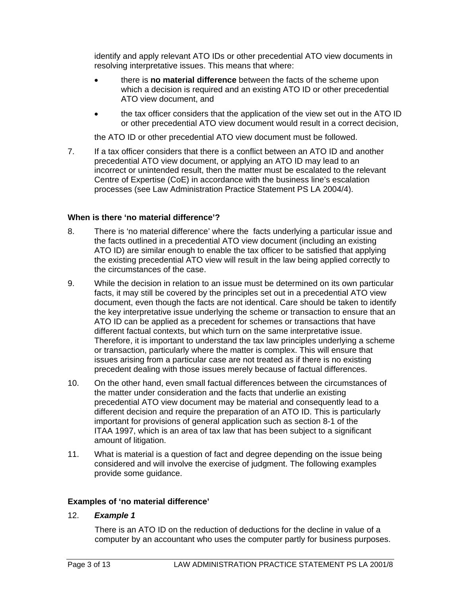identify and apply relevant ATO IDs or other precedential ATO view documents in resolving interpretative issues. This means that where:

- there is **no material difference** between the facts of the scheme upon which a decision is required and an existing ATO ID or other precedential ATO view document, and
- the tax officer considers that the application of the view set out in the ATO ID or other precedential ATO view document would result in a correct decision,

the ATO ID or other precedential ATO view document must be followed.

7. If a tax officer considers that there is a conflict between an ATO ID and another precedential ATO view document, or applying an ATO ID may lead to an incorrect or unintended result, then the matter must be escalated to the relevant Centre of Expertise (CoE) in accordance with the business line's escalation processes (see Law Administration Practice Statement PS LA 2004/4).

#### **When is there 'no material difference'?**

- 8. There is 'no material difference' where the facts underlying a particular issue and the facts outlined in a precedential ATO view document (including an existing ATO ID) are similar enough to enable the tax officer to be satisfied that applying the existing precedential ATO view will result in the law being applied correctly to the circumstances of the case.
- 9. While the decision in relation to an issue must be determined on its own particular facts, it may still be covered by the principles set out in a precedential ATO view document, even though the facts are not identical. Care should be taken to identify the key interpretative issue underlying the scheme or transaction to ensure that an ATO ID can be applied as a precedent for schemes or transactions that have different factual contexts, but which turn on the same interpretative issue. Therefore, it is important to understand the tax law principles underlying a scheme or transaction, particularly where the matter is complex. This will ensure that issues arising from a particular case are not treated as if there is no existing precedent dealing with those issues merely because of factual differences.
- 10. On the other hand, even small factual differences between the circumstances of the matter under consideration and the facts that underlie an existing precedential ATO view document may be material and consequently lead to a different decision and require the preparation of an ATO ID. This is particularly important for provisions of general application such as section 8-1 of the ITAA 1997, which is an area of tax law that has been subject to a significant amount of litigation.
- 11. What is material is a question of fact and degree depending on the issue being considered and will involve the exercise of judgment. The following examples provide some guidance.

## **Examples of 'no material difference'**

12. *Example 1* 

There is an ATO ID on the reduction of deductions for the decline in value of a computer by an accountant who uses the computer partly for business purposes.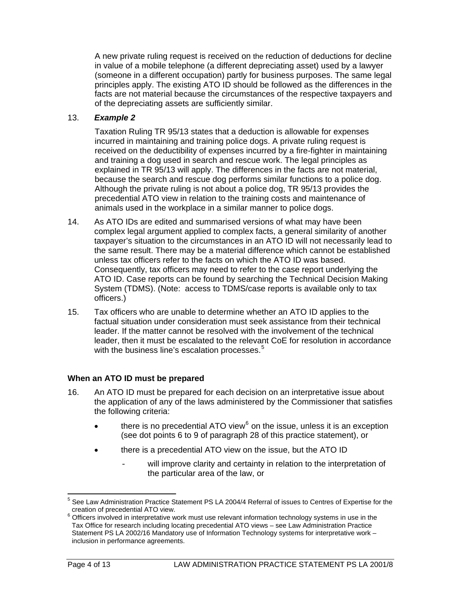A new private ruling request is received on the reduction of deductions for decline in value of a mobile telephone (a different depreciating asset) used by a lawyer (someone in a different occupation) partly for business purposes. The same legal principles apply. The existing ATO ID should be followed as the differences in the facts are not material because the circumstances of the respective taxpayers and of the depreciating assets are sufficiently similar.

#### 13. *Example 2*

Taxation Ruling TR 95/13 states that a deduction is allowable for expenses incurred in maintaining and training police dogs. A private ruling request is received on the deductibility of expenses incurred by a fire-fighter in maintaining and training a dog used in search and rescue work. The legal principles as explained in TR 95/13 will apply. The differences in the facts are not material, because the search and rescue dog performs similar functions to a police dog. Although the private ruling is not about a police dog, TR 95/13 provides the precedential ATO view in relation to the training costs and maintenance of animals used in the workplace in a similar manner to police dogs.

- 14. As ATO IDs are edited and summarised versions of what may have been complex legal argument applied to complex facts, a general similarity of another taxpayer's situation to the circumstances in an ATO ID will not necessarily lead to the same result. There may be a material difference which cannot be established unless tax officers refer to the facts on which the ATO ID was based. Consequently, tax officers may need to refer to the case report underlying the ATO ID. Case reports can be found by searching the Technical Decision Making System (TDMS). (Note: access to TDMS/case reports is available only to tax officers.)
- 15. Tax officers who are unable to determine whether an ATO ID applies to the factual situation under consideration must seek assistance from their technical leader. If the matter cannot be resolved with the involvement of the technical leader, then it must be escalated to the relevant CoE for resolution in accordance with the business line's escalation processes.<sup>[5](#page-4-0)</sup>

## **When an ATO ID must be prepared**

- 16. An ATO ID must be prepared for each decision on an interpretative issue about the application of any of the laws administered by the Commissioner that satisfies the following criteria:
	- $\bullet$  there is no precedential ATO view<sup>6</sup> on the issue, unless it is an exception (see dot points 6 to 9 of paragraph 28 of this practice statement), or
	- there is a precedential ATO view on the issue, but the ATO ID
		- will improve clarity and certainty in relation to the interpretation of the particular area of the law, or

 $\overline{a}$ 

<span id="page-4-0"></span><sup>&</sup>lt;sup>5</sup> See Law Administration Practice Statement PS LA 2004/4 Referral of issues to Centres of Expertise for the creation of precedential ATO view.

 $6$  Officers involved in interpretative work must use relevant information technology systems in use in the Tax Office for research including locating precedential ATO views – see Law Administration Practice Statement PS LA 2002/16 Mandatory use of Information Technology systems for interpretative work – inclusion in performance agreements.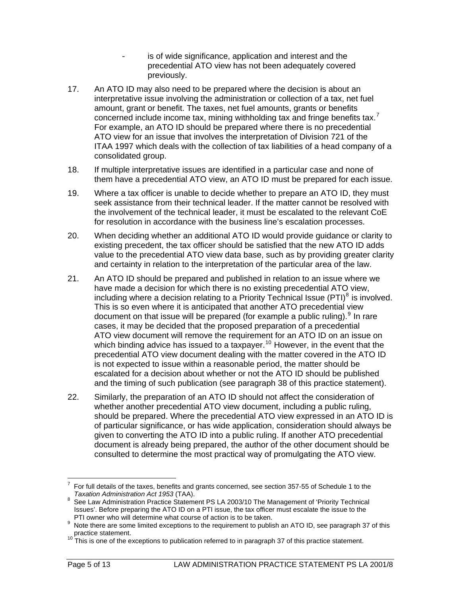- is of wide significance, application and interest and the precedential ATO view has not been adequately covered previously.
- 17. An ATO ID may also need to be prepared where the decision is about an interpretative issue involving the administration or collection of a tax, net fuel amount, grant or benefit. The taxes, net fuel amounts, grants or benefits concerned include income tax, mining withholding tax and fringe benefits tax.<sup>[7](#page-5-0)</sup> For example, an ATO ID should be prepared where there is no precedential ATO view for an issue that involves the interpretation of Division 721 of the ITAA 1997 which deals with the collection of tax liabilities of a head company of a consolidated group.
- 18. If multiple interpretative issues are identified in a particular case and none of them have a precedential ATO view, an ATO ID must be prepared for each issue.
- 19. Where a tax officer is unable to decide whether to prepare an ATO ID, they must seek assistance from their technical leader. If the matter cannot be resolved with the involvement of the technical leader, it must be escalated to the relevant CoE for resolution in accordance with the business line's escalation processes.
- 20. When deciding whether an additional ATO ID would provide guidance or clarity to existing precedent, the tax officer should be satisfied that the new ATO ID adds value to the precedential ATO view data base, such as by providing greater clarity and certainty in relation to the interpretation of the particular area of the law.
- 21. An ATO ID should be prepared and published in relation to an issue where we have made a decision for which there is no existing precedential ATO view, including where a decision relating to a Priority Technical Issue (PTI)<sup>[8](#page-5-1)</sup> is involved. This is so even where it is anticipated that another ATO precedential view document on that issue will be prepared (for example a public ruling).  $9$  In rare cases, it may be decided that the proposed preparation of a precedential ATO view document will remove the requirement for an ATO ID on an issue on which binding advice has issued to a taxpayer.<sup>[10](#page-5-3)</sup> However, in the event that the precedential ATO view document dealing with the matter covered in the ATO ID is not expected to issue within a reasonable period, the matter should be escalated for a decision about whether or not the ATO ID should be published and the timing of such publication (see paragraph 38 of this practice statement).
- 22. Similarly, the preparation of an ATO ID should not affect the consideration of whether another precedential ATO view document, including a public ruling, should be prepared. Where the precedential ATO view expressed in an ATO ID is of particular significance, or has wide application, consideration should always be given to converting the ATO ID into a public ruling. If another ATO precedential document is already being prepared, the author of the other document should be consulted to determine the most practical way of promulgating the ATO view.

<span id="page-5-0"></span> $\overline{a}$ 7 For full details of the taxes, benefits and grants concerned, see section 357-55 of Schedule 1 to the *Taxation Administration Act 1953* (TAA). 8

<span id="page-5-1"></span>See Law Administration Practice Statement PS LA 2003/10 The Management of 'Priority Technical Issues'. Before preparing the ATO ID on a PTI issue, the tax officer must escalate the issue to the<br>PTI owner who will determine what course of action is to be taken.

<span id="page-5-2"></span>PTI owner who will determine what course of action is to be taken.<br><sup>9</sup> Note there are some limited exceptions to the requirement to publish an ATO ID, see paragraph 37 of this practice statement.<br><sup>10</sup> This is one of the exceptions to publication referred to in paragraph 37 of this practice statement.

<span id="page-5-3"></span>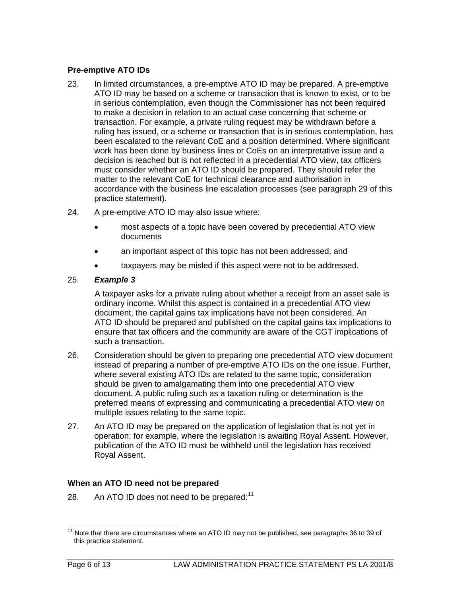## **Pre-emptive ATO IDs**

- 23. In limited circumstances, a pre-emptive ATO ID may be prepared. A pre-emptive ATO ID may be based on a scheme or transaction that is known to exist, or to be in serious contemplation, even though the Commissioner has not been required to make a decision in relation to an actual case concerning that scheme or transaction. For example, a private ruling request may be withdrawn before a ruling has issued, or a scheme or transaction that is in serious contemplation, has been escalated to the relevant CoE and a position determined. Where significant work has been done by business lines or CoEs on an interpretative issue and a decision is reached but is not reflected in a precedential ATO view, tax officers must consider whether an ATO ID should be prepared. They should refer the matter to the relevant CoE for technical clearance and authorisation in accordance with the business line escalation processes (see paragraph 29 of this practice statement).
- 24. A pre-emptive ATO ID may also issue where:
	- most aspects of a topic have been covered by precedential ATO view documents
	- an important aspect of this topic has not been addressed, and
	- taxpayers may be misled if this aspect were not to be addressed.

#### 25. *Example 3*

A taxpayer asks for a private ruling about whether a receipt from an asset sale is ordinary income. Whilst this aspect is contained in a precedential ATO view document, the capital gains tax implications have not been considered. An ATO ID should be prepared and published on the capital gains tax implications to ensure that tax officers and the community are aware of the CGT implications of such a transaction.

- 26. Consideration should be given to preparing one precedential ATO view document instead of preparing a number of pre-emptive ATO IDs on the one issue. Further, where several existing ATO IDs are related to the same topic, consideration should be given to amalgamating them into one precedential ATO view document. A public ruling such as a taxation ruling or determination is the preferred means of expressing and communicating a precedential ATO view on multiple issues relating to the same topic.
- 27. An ATO ID may be prepared on the application of legislation that is not yet in operation; for example, where the legislation is awaiting Royal Assent. However, publication of the ATO ID must be withheld until the legislation has received Royal Assent.

## **When an ATO ID need not be prepared**

28. An ATO ID does not need to be prepared: $11$ 

<span id="page-6-0"></span> $\overline{a}$  $11$  Note that there are circumstances where an ATO ID may not be published, see paragraphs 36 to 39 of this practice statement.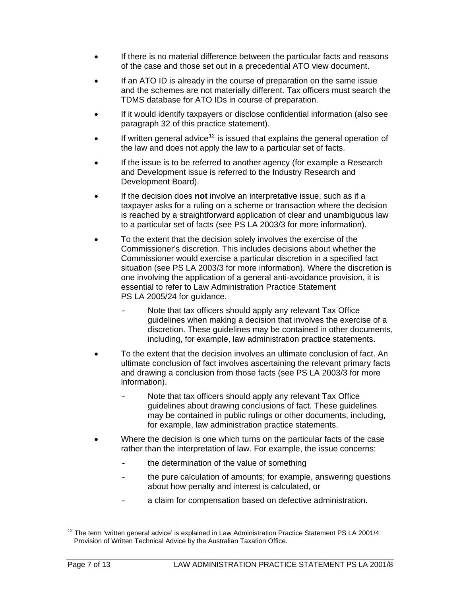- If there is no material difference between the particular facts and reasons of the case and those set out in a precedential ATO view document.
- If an ATO ID is already in the course of preparation on the same issue and the schemes are not materially different. Tax officers must search the TDMS database for ATO IDs in course of preparation.
- If it would identify taxpayers or disclose confidential information (also see paragraph 32 of this practice statement).
- If written general advice<sup>[12](#page-7-0)</sup> is issued that explains the general operation of the law and does not apply the law to a particular set of facts.
- If the issue is to be referred to another agency (for example a Research and Development issue is referred to the Industry Research and Development Board).
- If the decision does **not** involve an interpretative issue, such as if a taxpayer asks for a ruling on a scheme or transaction where the decision is reached by a straightforward application of clear and unambiguous law to a particular set of facts (see PS LA 2003/3 for more information).
- To the extent that the decision solely involves the exercise of the Commissioner's discretion. This includes decisions about whether the Commissioner would exercise a particular discretion in a specified fact situation (see PS LA 2003/3 for more information). Where the discretion is one involving the application of a general anti-avoidance provision, it is essential to refer to Law Administration Practice Statement PS LA 2005/24 for guidance.
	- Note that tax officers should apply any relevant Tax Office guidelines when making a decision that involves the exercise of a discretion. These guidelines may be contained in other documents, including, for example, law administration practice statements.
- To the extent that the decision involves an ultimate conclusion of fact. An ultimate conclusion of fact involves ascertaining the relevant primary facts and drawing a conclusion from those facts (see PS LA 2003/3 for more information).
	- Note that tax officers should apply any relevant Tax Office guidelines about drawing conclusions of fact. These guidelines may be contained in public rulings or other documents, including, for example, law administration practice statements.
- Where the decision is one which turns on the particular facts of the case rather than the interpretation of law. For example, the issue concerns:
	- the determination of the value of something
	- the pure calculation of amounts; for example, answering questions about how penalty and interest is calculated, or
	- a claim for compensation based on defective administration.

<span id="page-7-0"></span> $\overline{a}$  $12$  The term 'written general advice' is explained in Law Administration Practice Statement PS LA 2001/4 Provision of Written Technical Advice by the Australian Taxation Office.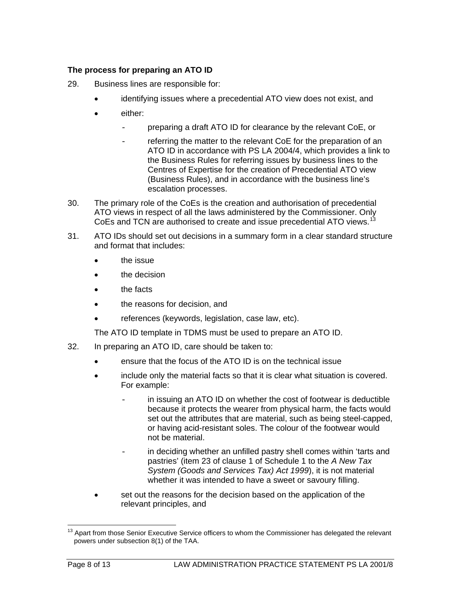# **The process for preparing an ATO ID**

- 29. Business lines are responsible for:
	- identifying issues where a precedential ATO view does not exist, and
	- either:
		- preparing a draft ATO ID for clearance by the relevant CoE, or
			- referring the matter to the relevant CoE for the preparation of an ATO ID in accordance with PS LA 2004/4, which provides a link to the Business Rules for referring issues by business lines to the Centres of Expertise for the creation of Precedential ATO view (Business Rules), and in accordance with the business line's escalation processes.
- 30. The primary role of the CoEs is the creation and authorisation of precedential ATO views in respect of all the laws administered by the Commissioner. Only CoEs and TCN are authorised to create and issue precedential ATO views.<sup>[13](#page-8-0)</sup>
- 31. ATO IDs should set out decisions in a summary form in a clear standard structure and format that includes:
	- the issue
	- the decision
	- the facts
	- the reasons for decision, and
	- references (keywords, legislation, case law, etc).

The ATO ID template in TDMS must be used to prepare an ATO ID.

- 32. In preparing an ATO ID, care should be taken to:
	- ensure that the focus of the ATO ID is on the technical issue
	- include only the material facts so that it is clear what situation is covered. For example:
		- in issuing an ATO ID on whether the cost of footwear is deductible because it protects the wearer from physical harm, the facts would set out the attributes that are material, such as being steel-capped, or having acid-resistant soles. The colour of the footwear would not be material.
		- in deciding whether an unfilled pastry shell comes within 'tarts and pastries' (item 23 of clause 1 of Schedule 1 to the *A New Tax System (Goods and Services Tax) Act 1999*), it is not material whether it was intended to have a sweet or savoury filling.
	- set out the reasons for the decision based on the application of the relevant principles, and

 $\overline{a}$ 

<span id="page-8-0"></span><sup>&</sup>lt;sup>13</sup> Apart from those Senior Executive Service officers to whom the Commissioner has delegated the relevant powers under subsection 8(1) of the TAA.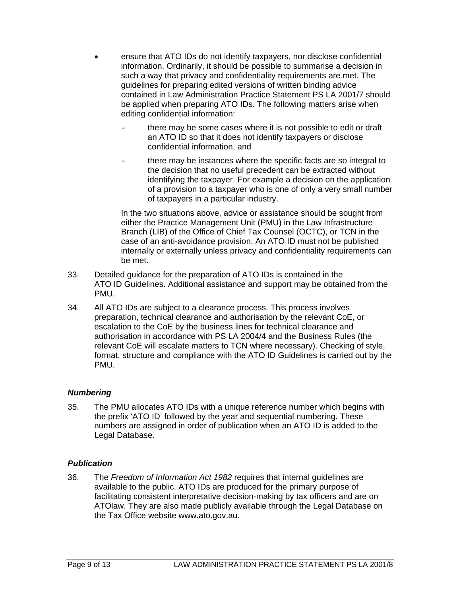- ensure that ATO IDs do not identify taxpayers, nor disclose confidential information. Ordinarily, it should be possible to summarise a decision in such a way that privacy and confidentiality requirements are met. The guidelines for preparing edited versions of written binding advice contained in Law Administration Practice Statement PS LA 2001/7 should be applied when preparing ATO IDs. The following matters arise when editing confidential information:
	- there may be some cases where it is not possible to edit or draft an ATO ID so that it does not identify taxpayers or disclose confidential information, and
	- there may be instances where the specific facts are so integral to the decision that no useful precedent can be extracted without identifying the taxpayer. For example a decision on the application of a provision to a taxpayer who is one of only a very small number of taxpayers in a particular industry.

In the two situations above, advice or assistance should be sought from either the Practice Management Unit (PMU) in the Law Infrastructure Branch (LIB) of the Office of Chief Tax Counsel (OCTC), or TCN in the case of an anti-avoidance provision. An ATO ID must not be published internally or externally unless privacy and confidentiality requirements can be met.

- 33. Detailed guidance for the preparation of ATO IDs is contained in the ATO ID Guidelines. Additional assistance and support may be obtained from the PMU.
- 34. All ATO IDs are subject to a clearance process. This process involves preparation, technical clearance and authorisation by the relevant CoE, or escalation to the CoE by the business lines for technical clearance and authorisation in accordance with PS LA 2004/4 and the Business Rules (the relevant CoE will escalate matters to TCN where necessary). Checking of style, format, structure and compliance with the ATO ID Guidelines is carried out by the PMU.

## *Numbering*

35. The PMU allocates ATO IDs with a unique reference number which begins with the prefix 'ATO ID' followed by the year and sequential numbering. These numbers are assigned in order of publication when an ATO ID is added to the Legal Database.

## *Publication*

36. The *Freedom of Information Act 1982* requires that internal guidelines are available to the public. ATO IDs are produced for the primary purpose of facilitating consistent interpretative decision-making by tax officers and are on ATOlaw. They are also made publicly available through the Legal Database on the Tax Office website www.ato.gov.au.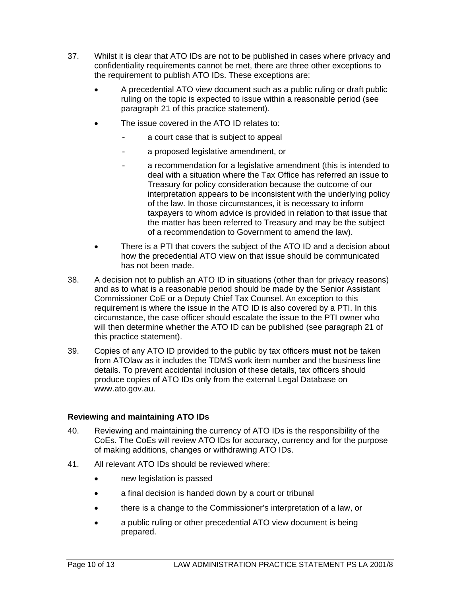- 37. Whilst it is clear that ATO IDs are not to be published in cases where privacy and confidentiality requirements cannot be met, there are three other exceptions to the requirement to publish ATO IDs. These exceptions are:
	- A precedential ATO view document such as a public ruling or draft public ruling on the topic is expected to issue within a reasonable period (see paragraph 21 of this practice statement).
	- The issue covered in the ATO ID relates to:
		- a court case that is subject to appeal
		- a proposed legislative amendment, or
		- a recommendation for a legislative amendment (this is intended to deal with a situation where the Tax Office has referred an issue to Treasury for policy consideration because the outcome of our interpretation appears to be inconsistent with the underlying policy of the law. In those circumstances, it is necessary to inform taxpayers to whom advice is provided in relation to that issue that the matter has been referred to Treasury and may be the subject of a recommendation to Government to amend the law).
	- There is a PTI that covers the subject of the ATO ID and a decision about how the precedential ATO view on that issue should be communicated has not been made.
- 38. A decision not to publish an ATO ID in situations (other than for privacy reasons) and as to what is a reasonable period should be made by the Senior Assistant Commissioner CoE or a Deputy Chief Tax Counsel. An exception to this requirement is where the issue in the ATO ID is also covered by a PTI. In this circumstance, the case officer should escalate the issue to the PTI owner who will then determine whether the ATO ID can be published (see paragraph 21 of this practice statement).
- 39. Copies of any ATO ID provided to the public by tax officers **must not** be taken from ATOlaw as it includes the TDMS work item number and the business line details. To prevent accidental inclusion of these details, tax officers should produce copies of ATO IDs only from the external Legal Database on www.ato.gov.au.

#### **Reviewing and maintaining ATO IDs**

- 40. Reviewing and maintaining the currency of ATO IDs is the responsibility of the CoEs. The CoEs will review ATO IDs for accuracy, currency and for the purpose of making additions, changes or withdrawing ATO IDs.
- 41. All relevant ATO IDs should be reviewed where:
	- new legislation is passed
	- a final decision is handed down by a court or tribunal
	- there is a change to the Commissioner's interpretation of a law, or
	- a public ruling or other precedential ATO view document is being prepared.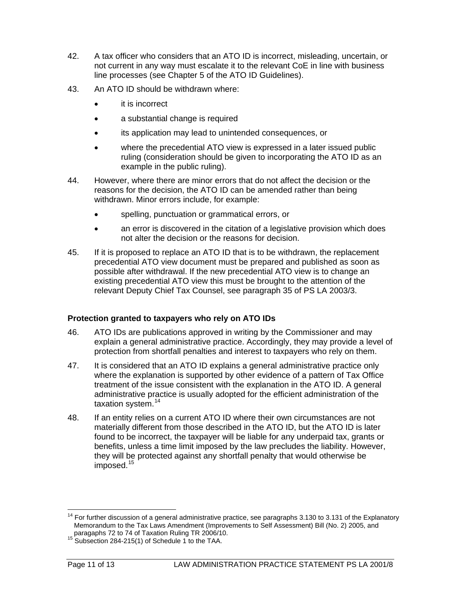- 42. A tax officer who considers that an ATO ID is incorrect, misleading, uncertain, or not current in any way must escalate it to the relevant CoE in line with business line processes (see Chapter 5 of the ATO ID Guidelines).
- 43. An ATO ID should be withdrawn where:
	- it is incorrect
	- a substantial change is required
	- its application may lead to unintended consequences, or
	- where the precedential ATO view is expressed in a later issued public ruling (consideration should be given to incorporating the ATO ID as an example in the public ruling).
- 44. However, where there are minor errors that do not affect the decision or the reasons for the decision, the ATO ID can be amended rather than being withdrawn. Minor errors include, for example:
	- spelling, punctuation or grammatical errors, or
	- an error is discovered in the citation of a legislative provision which does not alter the decision or the reasons for decision.
- 45. If it is proposed to replace an ATO ID that is to be withdrawn, the replacement precedential ATO view document must be prepared and published as soon as possible after withdrawal. If the new precedential ATO view is to change an existing precedential ATO view this must be brought to the attention of the relevant Deputy Chief Tax Counsel, see paragraph 35 of PS LA 2003/3.

## **Protection granted to taxpayers who rely on ATO IDs**

- 46. ATO IDs are publications approved in writing by the Commissioner and may explain a general administrative practice. Accordingly, they may provide a level of protection from shortfall penalties and interest to taxpayers who rely on them.
- 47. It is considered that an ATO ID explains a general administrative practice only where the explanation is supported by other evidence of a pattern of Tax Office treatment of the issue consistent with the explanation in the ATO ID. A general administrative practice is usually adopted for the efficient administration of the taxation system.<sup>[14](#page-11-0)</sup>
- 48. If an entity relies on a current ATO ID where their own circumstances are not materially different from those described in the ATO ID, but the ATO ID is later found to be incorrect, the taxpayer will be liable for any underpaid tax, grants or benefits, unless a time limit imposed by the law precludes the liability. However, they will be protected against any shortfall penalty that would otherwise be imposed.<sup>[15](#page-11-1)</sup>

<span id="page-11-0"></span> $\overline{\phantom{a}}$  $14$  For further discussion of a general administrative practice, see paragraphs 3.130 to 3.131 of the Explanatory Memorandum to the Tax Laws Amendment (Improvements to Self Assessment) Bill (No. 2) 2005, and

<span id="page-11-1"></span>paragaphs 72 to 74 of Taxation Ruling TR 2006/10.<br><sup>15</sup> Subsection 284-215(1) of Schedule 1 to the TAA.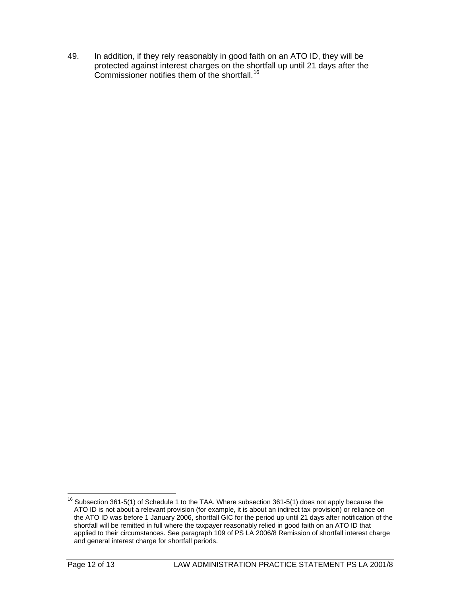49. In addition, if they rely reasonably in good faith on an ATO ID, they will be protected against interest charges on the shortfall up until 21 days after the Commissioner notifies them of the shortfall.[16](#page-12-0)

<span id="page-12-0"></span> $\overline{a}$  $16$  Subsection 361-5(1) of Schedule 1 to the TAA. Where subsection 361-5(1) does not apply because the ATO ID is not about a relevant provision (for example, it is about an indirect tax provision) or reliance on the ATO ID was before 1 January 2006, shortfall GIC for the period up until 21 days after notification of the shortfall will be remitted in full where the taxpayer reasonably relied in good faith on an ATO ID that applied to their circumstances. See paragraph 109 of PS LA 2006/8 Remission of shortfall interest charge and general interest charge for shortfall periods.